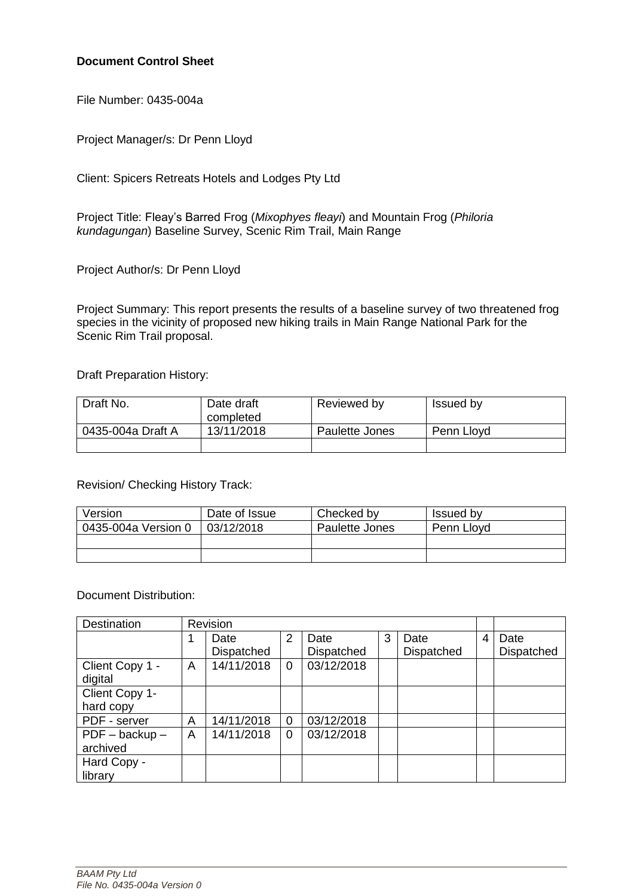#### **Document Control Sheet**

File Number: 0435-004a

Project Manager/s: Dr Penn Lloyd

Client: Spicers Retreats Hotels and Lodges Pty Ltd

Project Title: Fleay's Barred Frog (*Mixophyes fleayi*) and Mountain Frog (*Philoria kundagungan*) Baseline Survey, Scenic Rim Trail, Main Range

Project Author/s: Dr Penn Lloyd

Project Summary: This report presents the results of a baseline survey of two threatened frog species in the vicinity of proposed new hiking trails in Main Range National Park for the Scenic Rim Trail proposal.

Draft Preparation History:

| Draft No.         | Date draft<br>completed | Reviewed by    | Issued by  |
|-------------------|-------------------------|----------------|------------|
| 0435-004a Draft A | 13/11/2018              | Paulette Jones | Penn Lloyd |
|                   |                         |                |            |

Revision/ Checking History Track:

| Version             | Date of Issue | Checked by     | Issued by  |
|---------------------|---------------|----------------|------------|
| 0435-004a Version 0 | 03/12/2018    | Paulette Jones | Penn Lloyd |
|                     |               |                |            |
|                     |               |                |            |

Document Distribution:

| <b>Destination</b>           |   | Revision   |   |            |   |            |   |            |
|------------------------------|---|------------|---|------------|---|------------|---|------------|
|                              |   | Date       | 2 | Date       | 3 | Date       | 4 | Date       |
|                              |   | Dispatched |   | Dispatched |   | Dispatched |   | Dispatched |
| Client Copy 1 -<br>digital   | A | 14/11/2018 | 0 | 03/12/2018 |   |            |   |            |
| Client Copy 1-<br>hard copy  |   |            |   |            |   |            |   |            |
| PDF - server                 | Α | 14/11/2018 | 0 | 03/12/2018 |   |            |   |            |
| $PDF - backup -$<br>archived | Α | 14/11/2018 | 0 | 03/12/2018 |   |            |   |            |
| Hard Copy -<br>library       |   |            |   |            |   |            |   |            |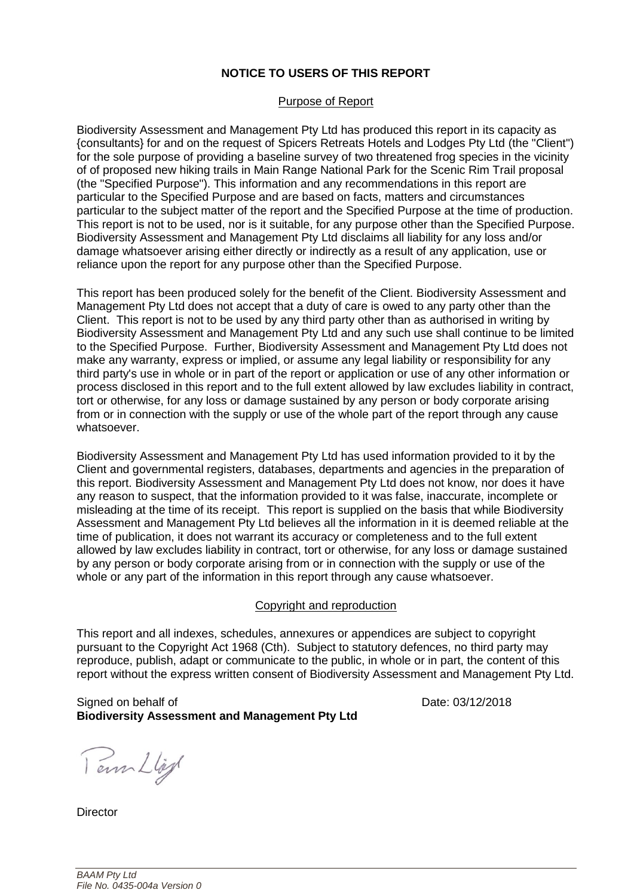#### **NOTICE TO USERS OF THIS REPORT**

#### Purpose of Report

Biodiversity Assessment and Management Pty Ltd has produced this report in its capacity as {consultants} for and on the request of Spicers Retreats Hotels and Lodges Pty Ltd (the "Client") for the sole purpose of providing a baseline survey of two threatened frog species in the vicinity of of proposed new hiking trails in Main Range National Park for the Scenic Rim Trail proposal (the "Specified Purpose"). This information and any recommendations in this report are particular to the Specified Purpose and are based on facts, matters and circumstances particular to the subject matter of the report and the Specified Purpose at the time of production. This report is not to be used, nor is it suitable, for any purpose other than the Specified Purpose. Biodiversity Assessment and Management Pty Ltd disclaims all liability for any loss and/or damage whatsoever arising either directly or indirectly as a result of any application, use or reliance upon the report for any purpose other than the Specified Purpose.

This report has been produced solely for the benefit of the Client. Biodiversity Assessment and Management Pty Ltd does not accept that a duty of care is owed to any party other than the Client. This report is not to be used by any third party other than as authorised in writing by Biodiversity Assessment and Management Pty Ltd and any such use shall continue to be limited to the Specified Purpose. Further, Biodiversity Assessment and Management Pty Ltd does not make any warranty, express or implied, or assume any legal liability or responsibility for any third party's use in whole or in part of the report or application or use of any other information or process disclosed in this report and to the full extent allowed by law excludes liability in contract, tort or otherwise, for any loss or damage sustained by any person or body corporate arising from or in connection with the supply or use of the whole part of the report through any cause whatsoever.

Biodiversity Assessment and Management Pty Ltd has used information provided to it by the Client and governmental registers, databases, departments and agencies in the preparation of this report. Biodiversity Assessment and Management Pty Ltd does not know, nor does it have any reason to suspect, that the information provided to it was false, inaccurate, incomplete or misleading at the time of its receipt. This report is supplied on the basis that while Biodiversity Assessment and Management Pty Ltd believes all the information in it is deemed reliable at the time of publication, it does not warrant its accuracy or completeness and to the full extent allowed by law excludes liability in contract, tort or otherwise, for any loss or damage sustained by any person or body corporate arising from or in connection with the supply or use of the whole or any part of the information in this report through any cause whatsoever.

#### Copyright and reproduction

This report and all indexes, schedules, annexures or appendices are subject to copyright pursuant to the Copyright Act 1968 (Cth). Subject to statutory defences, no third party may reproduce, publish, adapt or communicate to the public, in whole or in part, the content of this report without the express written consent of Biodiversity Assessment and Management Pty Ltd.

Signed on behalf of **Date: 03/12/2018 Biodiversity Assessment and Management Pty Ltd**

Tem Lligt

**Director**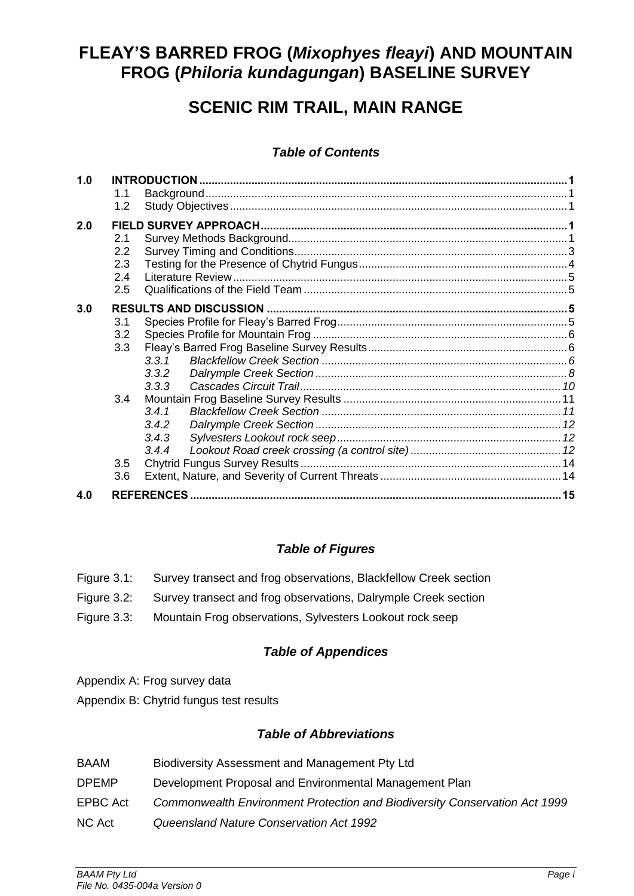# **FLEAY'S BARRED FROG (***Mixophyes fleayi***) AND MOUNTAIN FROG (***Philoria kundagungan***) BASELINE SURVEY**

# **SCENIC RIM TRAIL, MAIN RANGE**

# *Table of Contents*

| 1.0 | 1.1              |       |  |
|-----|------------------|-------|--|
| 2.0 | 1.2              |       |  |
|     | 2.1              |       |  |
|     | $2.2\phantom{0}$ |       |  |
|     | 2.3              |       |  |
|     | 2.4              |       |  |
|     | 2.5              |       |  |
| 3.0 |                  |       |  |
|     | 3.1              |       |  |
|     | 3.2              |       |  |
|     | 3.3              |       |  |
|     |                  | 3.3.1 |  |
|     |                  | 3.3.2 |  |
|     |                  | 3.3.3 |  |
|     | 3.4              |       |  |
|     |                  | 3.4.1 |  |
|     |                  | 3.4.2 |  |
|     |                  | 3.4.3 |  |
|     |                  | 3.4.4 |  |
|     | 3.5              |       |  |
|     | 3.6              |       |  |
| 4.0 |                  |       |  |

# *Table of Figures*

|             | Figure 3.1: Survey transect and frog observations, Blackfellow Creek section |
|-------------|------------------------------------------------------------------------------|
| Figure 3.2: | Survey transect and frog observations, Dalrymple Creek section               |

Figure 3.3: Mountain Frog observations, Sylvesters Lookout rock seep

# *Table of Appendices*

- Appendix A: Frog survey data
- Appendix B: Chytrid fungus test results

# *Table of Abbreviations*

BAAM Biodiversity Assessment and Management Pty Ltd DPEMP Development Proposal and Environmental Management Plan EPBC Act *Commonwealth Environment Protection and Biodiversity Conservation Act 1999* NC Act *Queensland Nature Conservation Act 1992*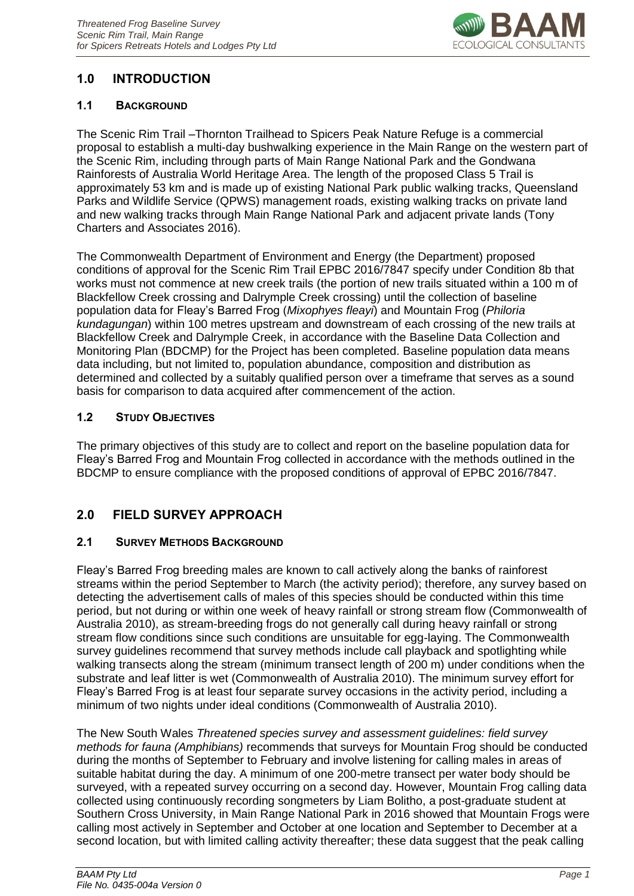

# <span id="page-3-0"></span>**1.0 INTRODUCTION**

#### <span id="page-3-1"></span>**1.1 BACKGROUND**

The Scenic Rim Trail –Thornton Trailhead to Spicers Peak Nature Refuge is a commercial proposal to establish a multi-day bushwalking experience in the Main Range on the western part of the Scenic Rim, including through parts of Main Range National Park and the Gondwana Rainforests of Australia World Heritage Area. The length of the proposed Class 5 Trail is approximately 53 km and is made up of existing National Park public walking tracks, Queensland Parks and Wildlife Service (QPWS) management roads, existing walking tracks on private land and new walking tracks through Main Range National Park and adjacent private lands (Tony Charters and Associates 2016).

The Commonwealth Department of Environment and Energy (the Department) proposed conditions of approval for the Scenic Rim Trail EPBC 2016/7847 specify under Condition 8b that works must not commence at new creek trails (the portion of new trails situated within a 100 m of Blackfellow Creek crossing and Dalrymple Creek crossing) until the collection of baseline population data for Fleay's Barred Frog (*Mixophyes fleayi*) and Mountain Frog (*Philoria kundagungan*) within 100 metres upstream and downstream of each crossing of the new trails at Blackfellow Creek and Dalrymple Creek, in accordance with the Baseline Data Collection and Monitoring Plan (BDCMP) for the Project has been completed. Baseline population data means data including, but not limited to, population abundance, composition and distribution as determined and collected by a suitably qualified person over a timeframe that serves as a sound basis for comparison to data acquired after commencement of the action.

#### <span id="page-3-2"></span>**1.2 STUDY OBJECTIVES**

The primary objectives of this study are to collect and report on the baseline population data for Fleay's Barred Frog and Mountain Frog collected in accordance with the methods outlined in the BDCMP to ensure compliance with the proposed conditions of approval of EPBC 2016/7847.

## <span id="page-3-3"></span>**2.0 FIELD SURVEY APPROACH**

#### <span id="page-3-4"></span>**2.1 SURVEY METHODS BACKGROUND**

Fleay's Barred Frog breeding males are known to call actively along the banks of rainforest streams within the period September to March (the activity period); therefore, any survey based on detecting the advertisement calls of males of this species should be conducted within this time period, but not during or within one week of heavy rainfall or strong stream flow (Commonwealth of Australia 2010), as stream-breeding frogs do not generally call during heavy rainfall or strong stream flow conditions since such conditions are unsuitable for egg-laying. The Commonwealth survey guidelines recommend that survey methods include call playback and spotlighting while walking transects along the stream (minimum transect length of 200 m) under conditions when the substrate and leaf litter is wet (Commonwealth of Australia 2010). The minimum survey effort for Fleay's Barred Frog is at least four separate survey occasions in the activity period, including a minimum of two nights under ideal conditions (Commonwealth of Australia 2010).

The New South Wales *Threatened species survey and assessment guidelines: field survey methods for fauna (Amphibians)* recommends that surveys for Mountain Frog should be conducted during the months of September to February and involve listening for calling males in areas of suitable habitat during the day. A minimum of one 200-metre transect per water body should be surveyed, with a repeated survey occurring on a second day. However, Mountain Frog calling data collected using continuously recording songmeters by Liam Bolitho, a post-graduate student at Southern Cross University, in Main Range National Park in 2016 showed that Mountain Frogs were calling most actively in September and October at one location and September to December at a second location, but with limited calling activity thereafter; these data suggest that the peak calling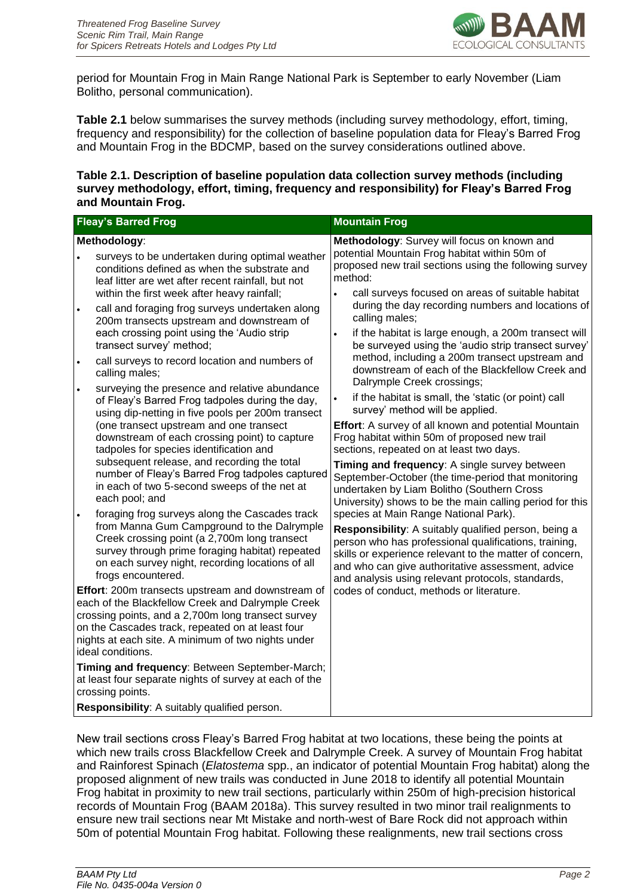

period for Mountain Frog in Main Range National Park is September to early November (Liam Bolitho, personal communication).

**Table 2.1** below summarises the survey methods (including survey methodology, effort, timing, frequency and responsibility) for the collection of baseline population data for Fleay's Barred Frog and Mountain Frog in the BDCMP, based on the survey considerations outlined above.

#### **Table 2.1. Description of baseline population data collection survey methods (including survey methodology, effort, timing, frequency and responsibility) for Fleay's Barred Frog and Mountain Frog.**

|                        | <b>Fleay's Barred Frog</b>                                                                                                                                                                                                                                                                                                                                                                                                                                                                                                                                                                                                                                                                   | <b>Mountain Frog</b>                                                                                                                                                                                                                                                                                                                                                                                                                                                                                                                                                                                                                                                                                                                                                                                      |
|------------------------|----------------------------------------------------------------------------------------------------------------------------------------------------------------------------------------------------------------------------------------------------------------------------------------------------------------------------------------------------------------------------------------------------------------------------------------------------------------------------------------------------------------------------------------------------------------------------------------------------------------------------------------------------------------------------------------------|-----------------------------------------------------------------------------------------------------------------------------------------------------------------------------------------------------------------------------------------------------------------------------------------------------------------------------------------------------------------------------------------------------------------------------------------------------------------------------------------------------------------------------------------------------------------------------------------------------------------------------------------------------------------------------------------------------------------------------------------------------------------------------------------------------------|
| $\bullet$<br>$\bullet$ | Methodology:<br>surveys to be undertaken during optimal weather<br>conditions defined as when the substrate and<br>leaf litter are wet after recent rainfall, but not<br>within the first week after heavy rainfall;<br>call and foraging frog surveys undertaken along<br>200m transects upstream and downstream of<br>each crossing point using the 'Audio strip<br>transect survey' method;<br>call surveys to record location and numbers of<br>calling males;<br>surveying the presence and relative abundance                                                                                                                                                                          | Methodology: Survey will focus on known and<br>potential Mountain Frog habitat within 50m of<br>proposed new trail sections using the following survey<br>method:<br>call surveys focused on areas of suitable habitat<br>$\bullet$<br>during the day recording numbers and locations of<br>calling males;<br>if the habitat is large enough, a 200m transect will<br>$\bullet$<br>be surveyed using the 'audio strip transect survey'<br>method, including a 200m transect upstream and<br>downstream of each of the Blackfellow Creek and<br>Dalrymple Creek crossings;                                                                                                                                                                                                                                 |
|                        | of Fleay's Barred Frog tadpoles during the day,<br>using dip-netting in five pools per 200m transect<br>(one transect upstream and one transect<br>downstream of each crossing point) to capture<br>tadpoles for species identification and<br>subsequent release, and recording the total<br>number of Fleay's Barred Frog tadpoles captured<br>in each of two 5-second sweeps of the net at<br>each pool; and<br>foraging frog surveys along the Cascades track<br>from Manna Gum Campground to the Dalrymple<br>Creek crossing point (a 2,700m long transect<br>survey through prime foraging habitat) repeated<br>on each survey night, recording locations of all<br>frogs encountered. | if the habitat is small, the 'static (or point) call<br>$\bullet$<br>survey' method will be applied.<br>Effort: A survey of all known and potential Mountain<br>Frog habitat within 50m of proposed new trail<br>sections, repeated on at least two days.<br>Timing and frequency: A single survey between<br>September-October (the time-period that monitoring<br>undertaken by Liam Bolitho (Southern Cross<br>University) shows to be the main calling period for this<br>species at Main Range National Park).<br>Responsibility: A suitably qualified person, being a<br>person who has professional qualifications, training,<br>skills or experience relevant to the matter of concern,<br>and who can give authoritative assessment, advice<br>and analysis using relevant protocols, standards, |
|                        | Effort: 200m transects upstream and downstream of<br>each of the Blackfellow Creek and Dalrymple Creek<br>crossing points, and a 2,700m long transect survey<br>on the Cascades track, repeated on at least four<br>nights at each site. A minimum of two nights under<br>ideal conditions.<br>Timing and frequency: Between September-March;<br>at least four separate nights of survey at each of the<br>crossing points.<br>Responsibility: A suitably qualified person.                                                                                                                                                                                                                  | codes of conduct, methods or literature.                                                                                                                                                                                                                                                                                                                                                                                                                                                                                                                                                                                                                                                                                                                                                                  |
|                        |                                                                                                                                                                                                                                                                                                                                                                                                                                                                                                                                                                                                                                                                                              |                                                                                                                                                                                                                                                                                                                                                                                                                                                                                                                                                                                                                                                                                                                                                                                                           |

New trail sections cross Fleay's Barred Frog habitat at two locations, these being the points at which new trails cross Blackfellow Creek and Dalrymple Creek. A survey of Mountain Frog habitat and Rainforest Spinach (*Elatostema* spp., an indicator of potential Mountain Frog habitat) along the proposed alignment of new trails was conducted in June 2018 to identify all potential Mountain Frog habitat in proximity to new trail sections, particularly within 250m of high-precision historical records of Mountain Frog (BAAM 2018a). This survey resulted in two minor trail realignments to ensure new trail sections near Mt Mistake and north-west of Bare Rock did not approach within 50m of potential Mountain Frog habitat. Following these realignments, new trail sections cross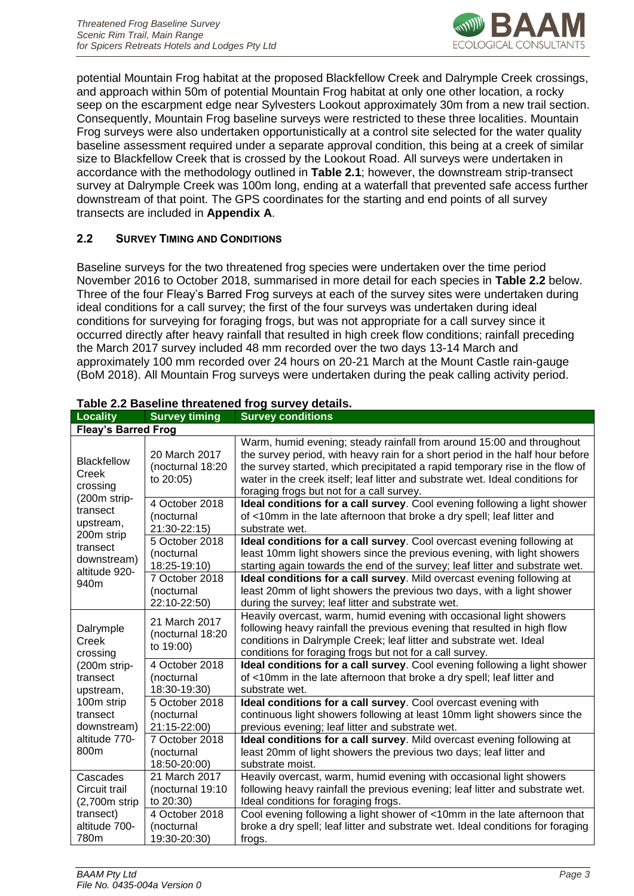

potential Mountain Frog habitat at the proposed Blackfellow Creek and Dalrymple Creek crossings, and approach within 50m of potential Mountain Frog habitat at only one other location, a rocky seep on the escarpment edge near Sylvesters Lookout approximately 30m from a new trail section. Consequently, Mountain Frog baseline surveys were restricted to these three localities. Mountain Frog surveys were also undertaken opportunistically at a control site selected for the water quality baseline assessment required under a separate approval condition, this being at a creek of similar size to Blackfellow Creek that is crossed by the Lookout Road. All surveys were undertaken in accordance with the methodology outlined in **Table 2.1**; however, the downstream strip-transect survey at Dalrymple Creek was 100m long, ending at a waterfall that prevented safe access further downstream of that point. The GPS coordinates for the starting and end points of all survey transects are included in **Appendix A**.

#### <span id="page-5-0"></span>**2.2 SURVEY TIMING AND CONDITIONS**

Baseline surveys for the two threatened frog species were undertaken over the time period November 2016 to October 2018, summarised in more detail for each species in **Table 2.2** below. Three of the four Fleay's Barred Frog surveys at each of the survey sites were undertaken during ideal conditions for a call survey; the first of the four surveys was undertaken during ideal conditions for surveying for foraging frogs, but was not appropriate for a call survey since it occurred directly after heavy rainfall that resulted in high creek flow conditions; rainfall preceding the March 2017 survey included 48 mm recorded over the two days 13-14 March and approximately 100 mm recorded over 24 hours on 20-21 March at the Mount Castle rain-gauge (BoM 2018). All Mountain Frog surveys were undertaken during the peak calling activity period.

| <b>Locality</b>                                        | <b>Survey timing</b>                           | <b>Survey conditions</b>                                                                                                                                                                                                                                                                                                                                              |  |
|--------------------------------------------------------|------------------------------------------------|-----------------------------------------------------------------------------------------------------------------------------------------------------------------------------------------------------------------------------------------------------------------------------------------------------------------------------------------------------------------------|--|
| <b>Fleay's Barred Frog</b>                             |                                                |                                                                                                                                                                                                                                                                                                                                                                       |  |
| Blackfellow<br>Creek<br>crossing                       | 20 March 2017<br>(nocturnal 18:20<br>to 20:05) | Warm, humid evening; steady rainfall from around 15:00 and throughout<br>the survey period, with heavy rain for a short period in the half hour before<br>the survey started, which precipitated a rapid temporary rise in the flow of<br>water in the creek itself; leaf litter and substrate wet. Ideal conditions for<br>foraging frogs but not for a call survey. |  |
| (200m strip-<br>transect<br>upstream,                  | 4 October 2018<br>(nocturnal<br>21:30-22:15)   | Ideal conditions for a call survey. Cool evening following a light shower<br>of <10mm in the late afternoon that broke a dry spell; leaf litter and<br>substrate wet.                                                                                                                                                                                                 |  |
| 200m strip<br>transect<br>downstream)<br>altitude 920- | 5 October 2018<br>(nocturnal<br>18:25-19:10)   | Ideal conditions for a call survey. Cool overcast evening following at<br>least 10mm light showers since the previous evening, with light showers<br>starting again towards the end of the survey; leaf litter and substrate wet.                                                                                                                                     |  |
| 940m                                                   | 7 October 2018<br>(nocturnal<br>22:10-22:50)   | Ideal conditions for a call survey. Mild overcast evening following at<br>least 20mm of light showers the previous two days, with a light shower<br>during the survey; leaf litter and substrate wet.                                                                                                                                                                 |  |
| Dalrymple<br>Creek<br>crossing                         | 21 March 2017<br>(nocturnal 18:20<br>to 19:00) | Heavily overcast, warm, humid evening with occasional light showers<br>following heavy rainfall the previous evening that resulted in high flow<br>conditions in Dalrymple Creek; leaf litter and substrate wet. Ideal<br>conditions for foraging frogs but not for a call survey.                                                                                    |  |
| (200m strip-<br>transect<br>upstream,                  | 4 October 2018<br>(nocturnal<br>18:30-19:30)   | Ideal conditions for a call survey. Cool evening following a light shower<br>of <10mm in the late afternoon that broke a dry spell; leaf litter and<br>substrate wet.                                                                                                                                                                                                 |  |
| 100m strip<br>transect<br>downstream)                  | 5 October 2018<br>(nocturnal<br>21:15-22:00)   | Ideal conditions for a call survey. Cool overcast evening with<br>continuous light showers following at least 10mm light showers since the<br>previous evening; leaf litter and substrate wet.                                                                                                                                                                        |  |
| altitude 770-<br>800m                                  | 7 October 2018<br>(nocturnal<br>18:50-20:00)   | Ideal conditions for a call survey. Mild overcast evening following at<br>least 20mm of light showers the previous two days; leaf litter and<br>substrate moist.                                                                                                                                                                                                      |  |
| Cascades<br>Circuit trail<br>(2,700m strip             | 21 March 2017<br>(nocturnal 19:10<br>to 20:30) | Heavily overcast, warm, humid evening with occasional light showers<br>following heavy rainfall the previous evening; leaf litter and substrate wet.<br>Ideal conditions for foraging frogs.                                                                                                                                                                          |  |
| transect)<br>altitude 700-<br>780m                     | 4 October 2018<br>(nocturnal<br>19:30-20:30)   | Cool evening following a light shower of <10mm in the late afternoon that<br>broke a dry spell; leaf litter and substrate wet. Ideal conditions for foraging<br>frogs.                                                                                                                                                                                                |  |

#### **Table 2.2 Baseline threatened frog survey details.**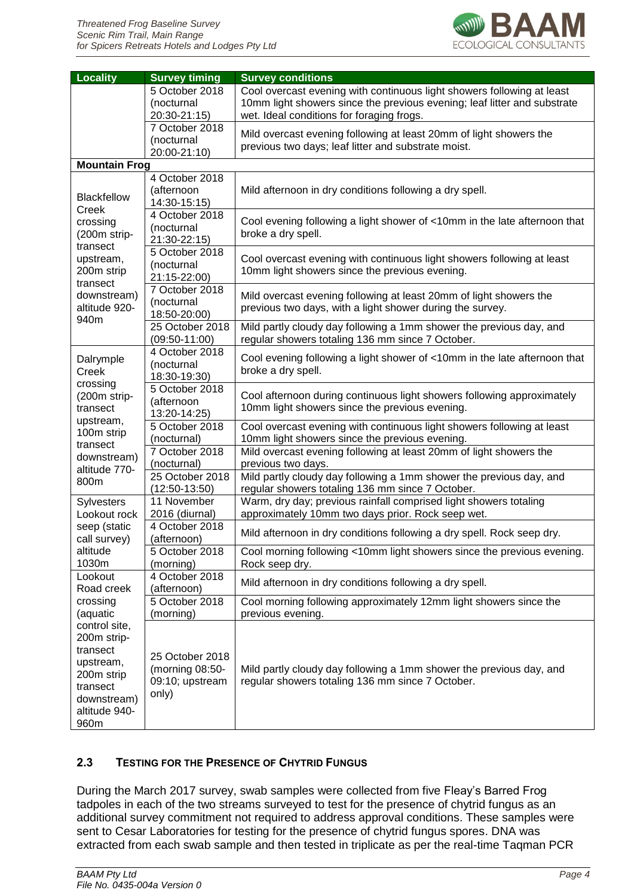

| Locality                                                                                                                | <b>Survey timing</b>                                           | <b>Survey conditions</b>                                                                                                                                                                        |  |  |
|-------------------------------------------------------------------------------------------------------------------------|----------------------------------------------------------------|-------------------------------------------------------------------------------------------------------------------------------------------------------------------------------------------------|--|--|
|                                                                                                                         | 5 October 2018<br>(nocturnal<br>20:30-21:15)                   | Cool overcast evening with continuous light showers following at least<br>10mm light showers since the previous evening; leaf litter and substrate<br>wet. Ideal conditions for foraging frogs. |  |  |
|                                                                                                                         | 7 October 2018<br>(nocturnal<br>20:00-21:10)                   | Mild overcast evening following at least 20mm of light showers the<br>previous two days; leaf litter and substrate moist.                                                                       |  |  |
| <b>Mountain Frog</b>                                                                                                    |                                                                |                                                                                                                                                                                                 |  |  |
| <b>Blackfellow</b>                                                                                                      | 4 October 2018<br>(afternoon<br>14:30-15:15)                   | Mild afternoon in dry conditions following a dry spell.                                                                                                                                         |  |  |
| Creek<br>crossing<br>(200m strip-<br>transect                                                                           | 4 October 2018<br>(nocturnal<br>21:30-22:15)                   | Cool evening following a light shower of <10mm in the late afternoon that<br>broke a dry spell.                                                                                                 |  |  |
| upstream,<br>200m strip<br>transect                                                                                     | 5 October 2018<br>(nocturnal<br>21:15-22:00)                   | Cool overcast evening with continuous light showers following at least<br>10mm light showers since the previous evening.                                                                        |  |  |
| downstream)<br>altitude 920-<br>940m                                                                                    | 7 October 2018<br>(nocturnal<br>18:50-20:00)                   | Mild overcast evening following at least 20mm of light showers the<br>previous two days, with a light shower during the survey.                                                                 |  |  |
|                                                                                                                         | 25 October 2018<br>$(09:50-11:00)$                             | Mild partly cloudy day following a 1mm shower the previous day, and<br>regular showers totaling 136 mm since 7 October.                                                                         |  |  |
| Dalrymple<br>Creek<br>crossing                                                                                          | 4 October 2018<br>(nocturnal<br>18:30-19:30)                   | Cool evening following a light shower of <10mm in the late afternoon that<br>broke a dry spell.                                                                                                 |  |  |
| (200m strip-<br>transect<br>upstream,                                                                                   | 5 October 2018<br>(afternoon<br>13:20-14:25)                   | Cool afternoon during continuous light showers following approximately<br>10mm light showers since the previous evening.                                                                        |  |  |
| 100m strip<br>transect                                                                                                  | 5 October 2018<br>(nocturnal)                                  | Cool overcast evening with continuous light showers following at least<br>10mm light showers since the previous evening.                                                                        |  |  |
| downstream)<br>altitude 770-                                                                                            | 7 October 2018<br>(nocturnal)                                  | Mild overcast evening following at least 20mm of light showers the<br>previous two days.                                                                                                        |  |  |
| 800m                                                                                                                    | 25 October 2018<br>$(12:50-13:50)$                             | Mild partly cloudy day following a 1mm shower the previous day, and<br>regular showers totaling 136 mm since 7 October.                                                                         |  |  |
| Sylvesters<br>Lookout rock                                                                                              | 11 November<br>2016 (diurnal)                                  | Warm, dry day; previous rainfall comprised light showers totaling<br>approximately 10mm two days prior. Rock seep wet.                                                                          |  |  |
| seep (static<br>call survey)                                                                                            | 4 October 2018<br>(afternoon)                                  | Mild afternoon in dry conditions following a dry spell. Rock seep dry.                                                                                                                          |  |  |
| altitude<br>1030m                                                                                                       | 5 October 2018<br>(morning)                                    | Cool morning following <10mm light showers since the previous evening.<br>Rock seep dry.                                                                                                        |  |  |
| Lookout<br>Road creek                                                                                                   | 4 October 2018<br>(afternoon)                                  | Mild afternoon in dry conditions following a dry spell.                                                                                                                                         |  |  |
| crossing<br>(aquatic                                                                                                    | 5 October 2018<br>(morning)                                    | Cool morning following approximately 12mm light showers since the<br>previous evening.                                                                                                          |  |  |
| control site,<br>200m strip-<br>transect<br>upstream,<br>200m strip<br>transect<br>downstream)<br>altitude 940-<br>960m | 25 October 2018<br>(morning 08:50-<br>09:10; upstream<br>only) | Mild partly cloudy day following a 1mm shower the previous day, and<br>regular showers totaling 136 mm since 7 October.                                                                         |  |  |

#### <span id="page-6-0"></span>**2.3 TESTING FOR THE PRESENCE OF CHYTRID FUNGUS**

During the March 2017 survey, swab samples were collected from five Fleay's Barred Frog tadpoles in each of the two streams surveyed to test for the presence of chytrid fungus as an additional survey commitment not required to address approval conditions. These samples were sent to Cesar Laboratories for testing for the presence of chytrid fungus spores. DNA was extracted from each swab sample and then tested in triplicate as per the real-time Taqman PCR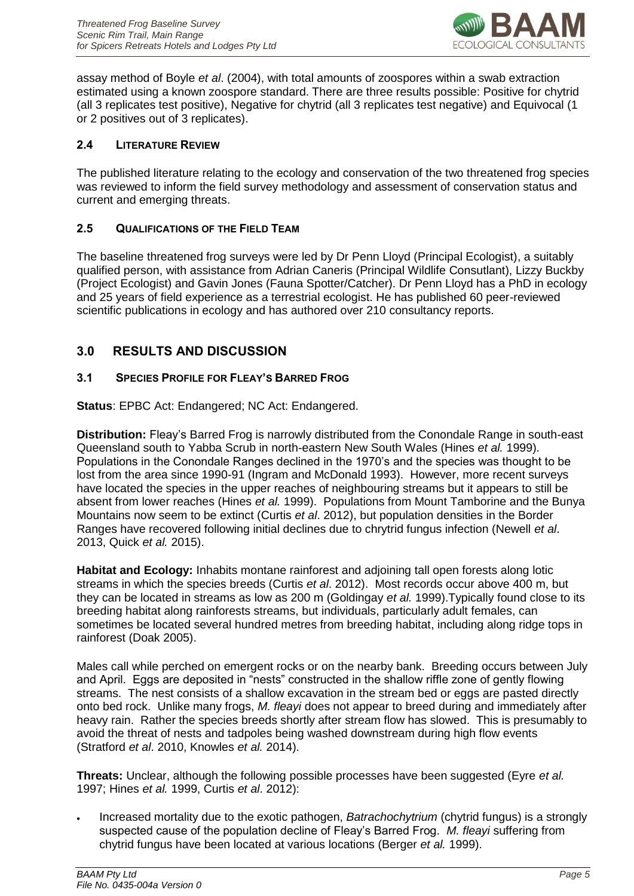

assay method of Boyle *et al*. (2004), with total amounts of zoospores within a swab extraction estimated using a known zoospore standard. There are three results possible: Positive for chytrid (all 3 replicates test positive), Negative for chytrid (all 3 replicates test negative) and Equivocal (1 or 2 positives out of 3 replicates).

#### <span id="page-7-0"></span>**2.4 LITERATURE REVIEW**

The published literature relating to the ecology and conservation of the two threatened frog species was reviewed to inform the field survey methodology and assessment of conservation status and current and emerging threats.

#### <span id="page-7-1"></span>**2.5 QUALIFICATIONS OF THE FIELD TEAM**

The baseline threatened frog surveys were led by Dr Penn Lloyd (Principal Ecologist), a suitably qualified person, with assistance from Adrian Caneris (Principal Wildlife Consutlant), Lizzy Buckby (Project Ecologist) and Gavin Jones (Fauna Spotter/Catcher). Dr Penn Lloyd has a PhD in ecology and 25 years of field experience as a terrestrial ecologist. He has published 60 peer-reviewed scientific publications in ecology and has authored over 210 consultancy reports.

## <span id="page-7-2"></span>**3.0 RESULTS AND DISCUSSION**

#### <span id="page-7-3"></span>**3.1 SPECIES PROFILE FOR FLEAY'S BARRED FROG**

**Status**: EPBC Act: Endangered; NC Act: Endangered.

**Distribution:** Fleay's Barred Frog is narrowly distributed from the Conondale Range in south-east Queensland south to Yabba Scrub in north-eastern New South Wales (Hines *et al.* 1999). Populations in the Conondale Ranges declined in the 1970's and the species was thought to be lost from the area since 1990-91 (Ingram and McDonald 1993). However, more recent surveys have located the species in the upper reaches of neighbouring streams but it appears to still be absent from lower reaches (Hines *et al.* 1999). Populations from Mount Tamborine and the Bunya Mountains now seem to be extinct (Curtis *et al*. 2012), but population densities in the Border Ranges have recovered following initial declines due to chrytrid fungus infection (Newell *et al*. 2013, Quick *et al.* 2015).

**Habitat and Ecology:** Inhabits montane rainforest and adjoining tall open forests along lotic streams in which the species breeds (Curtis *et al*. 2012). Most records occur above 400 m, but they can be located in streams as low as 200 m (Goldingay *et al.* 1999).Typically found close to its breeding habitat along rainforests streams, but individuals, particularly adult females, can sometimes be located several hundred metres from breeding habitat, including along ridge tops in rainforest (Doak 2005).

Males call while perched on emergent rocks or on the nearby bank. Breeding occurs between July and April. Eggs are deposited in "nests" constructed in the shallow riffle zone of gently flowing streams. The nest consists of a shallow excavation in the stream bed or eggs are pasted directly onto bed rock. Unlike many frogs, *M. fleayi* does not appear to breed during and immediately after heavy rain. Rather the species breeds shortly after stream flow has slowed. This is presumably to avoid the threat of nests and tadpoles being washed downstream during high flow events (Stratford *et al*. 2010, Knowles *et al.* 2014).

**Threats:** Unclear, although the following possible processes have been suggested (Eyre *et al.*  1997; Hines *et al.* 1999, Curtis *et al*. 2012):

• Increased mortality due to the exotic pathogen, *Batrachochytrium* (chytrid fungus) is a strongly suspected cause of the population decline of Fleay's Barred Frog. *M. fleayi* suffering from chytrid fungus have been located at various locations (Berger *et al.* 1999).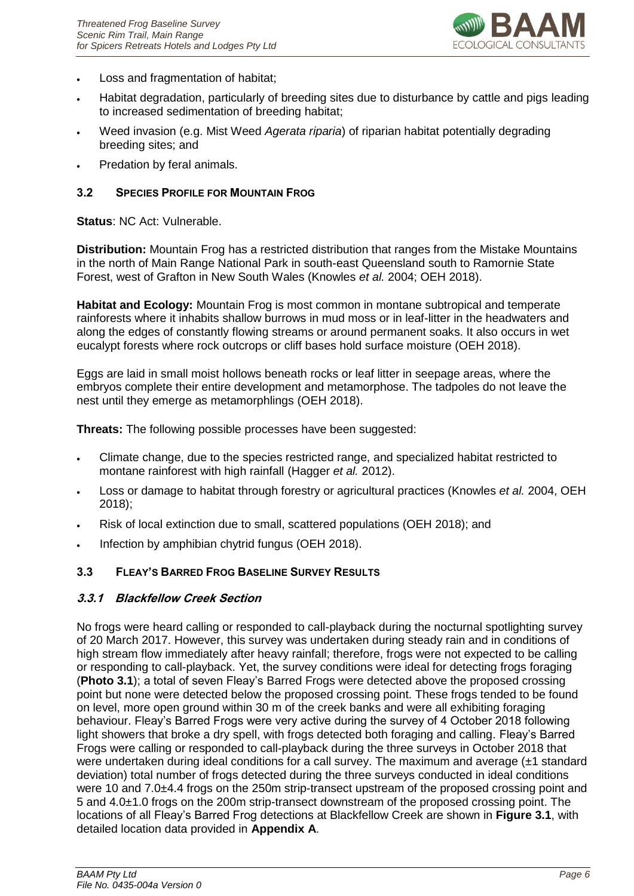

- Loss and fragmentation of habitat;
- Habitat degradation, particularly of breeding sites due to disturbance by cattle and pigs leading to increased sedimentation of breeding habitat;
- Weed invasion (e.g. Mist Weed *Agerata riparia*) of riparian habitat potentially degrading breeding sites; and
- Predation by feral animals.

#### <span id="page-8-0"></span>**3.2 SPECIES PROFILE FOR MOUNTAIN FROG**

**Status**: NC Act: Vulnerable.

**Distribution:** Mountain Frog has a restricted distribution that ranges from the Mistake Mountains in the north of Main Range National Park in south-east Queensland south to Ramornie State Forest, west of Grafton in New South Wales (Knowles *et al.* 2004; OEH 2018).

**Habitat and Ecology:** Mountain Frog is most common in montane subtropical and temperate rainforests where it inhabits shallow burrows in mud moss or in leaf-litter in the headwaters and along the edges of constantly flowing streams or around permanent soaks. It also occurs in wet eucalypt forests where rock outcrops or cliff bases hold surface moisture (OEH 2018).

Eggs are laid in small moist hollows beneath rocks or leaf litter in seepage areas, where the embryos complete their entire development and metamorphose. The tadpoles do not leave the nest until they emerge as metamorphlings (OEH 2018).

**Threats:** The following possible processes have been suggested:

- Climate change, due to the species restricted range, and specialized habitat restricted to montane rainforest with high rainfall (Hagger *et al.* 2012).
- Loss or damage to habitat through forestry or agricultural practices (Knowles *et al.* 2004, OEH 2018);
- Risk of local extinction due to small, scattered populations (OEH 2018); and
- Infection by amphibian chytrid fungus (OEH 2018).

#### <span id="page-8-1"></span>**3.3 FLEAY'S BARRED FROG BASELINE SURVEY RESULTS**

#### <span id="page-8-2"></span>**3.3.1 Blackfellow Creek Section**

No frogs were heard calling or responded to call-playback during the nocturnal spotlighting survey of 20 March 2017. However, this survey was undertaken during steady rain and in conditions of high stream flow immediately after heavy rainfall; therefore, frogs were not expected to be calling or responding to call-playback. Yet, the survey conditions were ideal for detecting frogs foraging (**Photo 3.1**); a total of seven Fleay's Barred Frogs were detected above the proposed crossing point but none were detected below the proposed crossing point. These frogs tended to be found on level, more open ground within 30 m of the creek banks and were all exhibiting foraging behaviour. Fleay's Barred Frogs were very active during the survey of 4 October 2018 following light showers that broke a dry spell, with frogs detected both foraging and calling. Fleay's Barred Frogs were calling or responded to call-playback during the three surveys in October 2018 that were undertaken during ideal conditions for a call survey. The maximum and average (±1 standard deviation) total number of frogs detected during the three surveys conducted in ideal conditions were 10 and 7.0±4.4 frogs on the 250m strip-transect upstream of the proposed crossing point and 5 and 4.0±1.0 frogs on the 200m strip-transect downstream of the proposed crossing point. The locations of all Fleay's Barred Frog detections at Blackfellow Creek are shown in **Figure 3.1**, with detailed location data provided in **Appendix A**.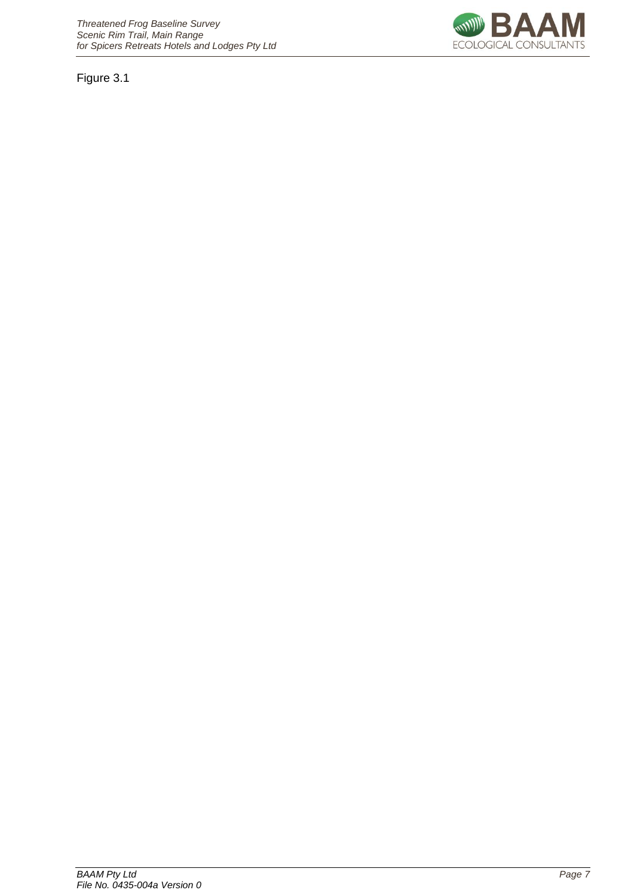Figure 3.1

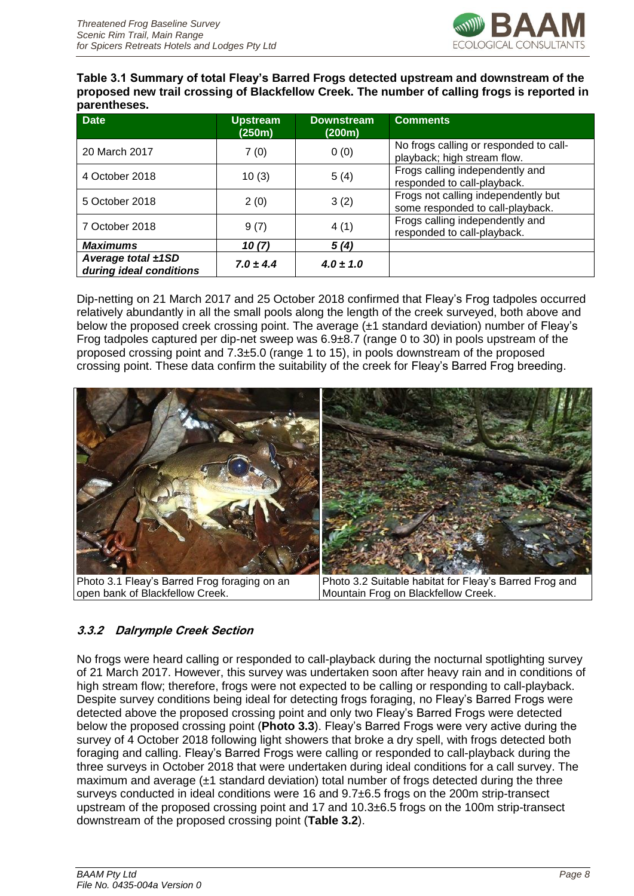

**Table 3.1 Summary of total Fleay's Barred Frogs detected upstream and downstream of the proposed new trail crossing of Blackfellow Creek. The number of calling frogs is reported in parentheses.**

| <b>Date</b>                                   | <b>Upstream</b><br>(250m) | <b>Downstream</b><br>(200m) | <b>Comments</b>                                                         |
|-----------------------------------------------|---------------------------|-----------------------------|-------------------------------------------------------------------------|
| 20 March 2017                                 | 7(0)                      | 0(0)                        | No frogs calling or responded to call-<br>playback; high stream flow.   |
| 4 October 2018                                | 10(3)                     | 5(4)                        | Frogs calling independently and<br>responded to call-playback.          |
| 5 October 2018                                | 2(0)                      | 3(2)                        | Frogs not calling independently but<br>some responded to call-playback. |
| 7 October 2018                                | 9(7)                      | 4(1)                        | Frogs calling independently and<br>responded to call-playback.          |
| <b>Maximums</b>                               | 10(7)                     | 5(4)                        |                                                                         |
| Average total ±1SD<br>during ideal conditions | $7.0 \pm 4.4$             | $4.0 \pm 1.0$               |                                                                         |

Dip-netting on 21 March 2017 and 25 October 2018 confirmed that Fleay's Frog tadpoles occurred relatively abundantly in all the small pools along the length of the creek surveyed, both above and below the proposed creek crossing point. The average (±1 standard deviation) number of Fleay's Frog tadpoles captured per dip-net sweep was 6.9±8.7 (range 0 to 30) in pools upstream of the proposed crossing point and 7.3±5.0 (range 1 to 15), in pools downstream of the proposed crossing point. These data confirm the suitability of the creek for Fleay's Barred Frog breeding.



Photo 3.1 Fleay's Barred Frog foraging on an open bank of Blackfellow Creek.

Photo 3.2 Suitable habitat for Fleay's Barred Frog and Mountain Frog on Blackfellow Creek.

# <span id="page-10-0"></span>**3.3.2 Dalrymple Creek Section**

No frogs were heard calling or responded to call-playback during the nocturnal spotlighting survey of 21 March 2017. However, this survey was undertaken soon after heavy rain and in conditions of high stream flow; therefore, frogs were not expected to be calling or responding to call-playback. Despite survey conditions being ideal for detecting frogs foraging, no Fleay's Barred Frogs were detected above the proposed crossing point and only two Fleay's Barred Frogs were detected below the proposed crossing point (**Photo 3.3**). Fleay's Barred Frogs were very active during the survey of 4 October 2018 following light showers that broke a dry spell, with frogs detected both foraging and calling. Fleay's Barred Frogs were calling or responded to call-playback during the three surveys in October 2018 that were undertaken during ideal conditions for a call survey. The maximum and average (±1 standard deviation) total number of frogs detected during the three surveys conducted in ideal conditions were 16 and 9.7±6.5 frogs on the 200m strip-transect upstream of the proposed crossing point and 17 and 10.3±6.5 frogs on the 100m strip-transect downstream of the proposed crossing point (**Table 3.2**).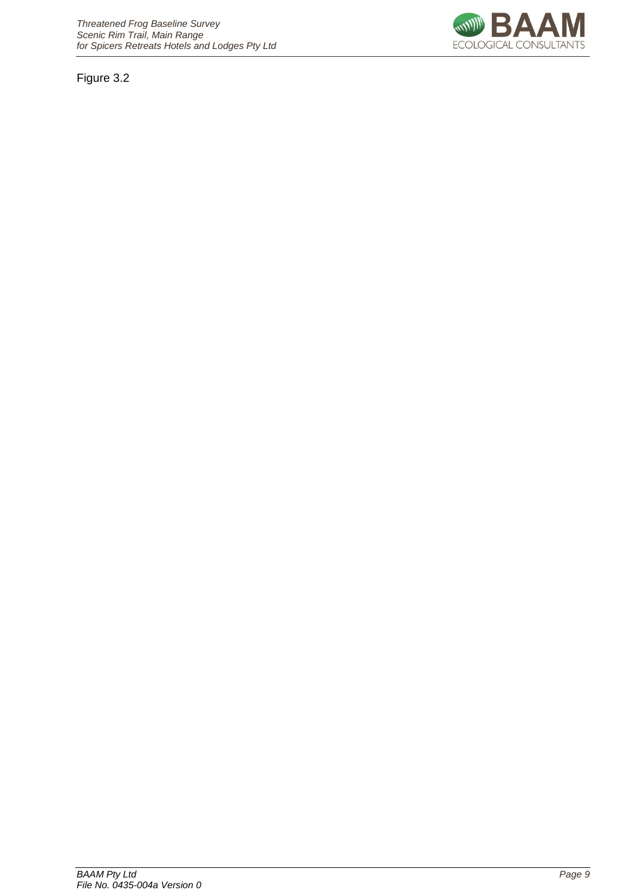Figure 3.2

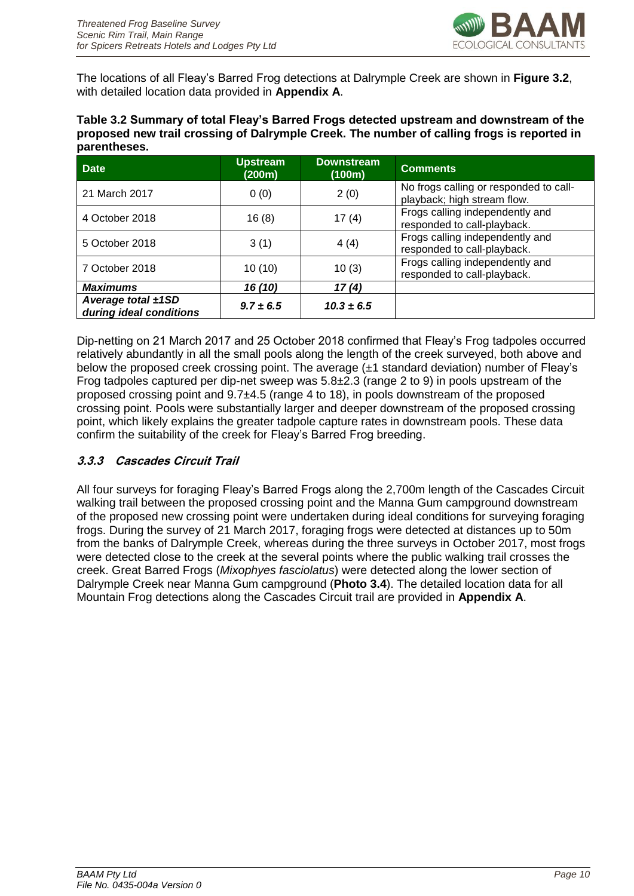

The locations of all Fleay's Barred Frog detections at Dalrymple Creek are shown in **Figure 3.2**, with detailed location data provided in **Appendix A**.

**Table 3.2 Summary of total Fleay's Barred Frogs detected upstream and downstream of the proposed new trail crossing of Dalrymple Creek. The number of calling frogs is reported in parentheses.**

| <b>Date</b>                                        | <b>Upstream</b><br>(200m) | <b>Downstream</b><br>(100m) | <b>Comments</b>                                                       |
|----------------------------------------------------|---------------------------|-----------------------------|-----------------------------------------------------------------------|
| 21 March 2017                                      | 0(0)                      | 2(0)                        | No frogs calling or responded to call-<br>playback; high stream flow. |
| 4 October 2018                                     | 16(8)                     | 17(4)                       | Frogs calling independently and<br>responded to call-playback.        |
| 5 October 2018                                     | 3(1)                      | 4(4)                        | Frogs calling independently and<br>responded to call-playback.        |
| 7 October 2018                                     | 10(10)                    | 10(3)                       | Frogs calling independently and<br>responded to call-playback.        |
| <b>Maximums</b>                                    | 16(10)                    | 17(4)                       |                                                                       |
| Average total $\pm$ 1SD<br>during ideal conditions | $9.7 \pm 6.5$             | $10.3 \pm 6.5$              |                                                                       |

Dip-netting on 21 March 2017 and 25 October 2018 confirmed that Fleay's Frog tadpoles occurred relatively abundantly in all the small pools along the length of the creek surveyed, both above and below the proposed creek crossing point. The average (±1 standard deviation) number of Fleay's Frog tadpoles captured per dip-net sweep was 5.8±2.3 (range 2 to 9) in pools upstream of the proposed crossing point and 9.7±4.5 (range 4 to 18), in pools downstream of the proposed crossing point. Pools were substantially larger and deeper downstream of the proposed crossing point, which likely explains the greater tadpole capture rates in downstream pools. These data confirm the suitability of the creek for Fleay's Barred Frog breeding.

#### <span id="page-12-0"></span>**3.3.3 Cascades Circuit Trail**

All four surveys for foraging Fleay's Barred Frogs along the 2,700m length of the Cascades Circuit walking trail between the proposed crossing point and the Manna Gum campground downstream of the proposed new crossing point were undertaken during ideal conditions for surveying foraging frogs. During the survey of 21 March 2017, foraging frogs were detected at distances up to 50m from the banks of Dalrymple Creek, whereas during the three surveys in October 2017, most frogs were detected close to the creek at the several points where the public walking trail crosses the creek. Great Barred Frogs (*Mixophyes fasciolatus*) were detected along the lower section of Dalrymple Creek near Manna Gum campground (**Photo 3.4**). The detailed location data for all Mountain Frog detections along the Cascades Circuit trail are provided in **Appendix A**.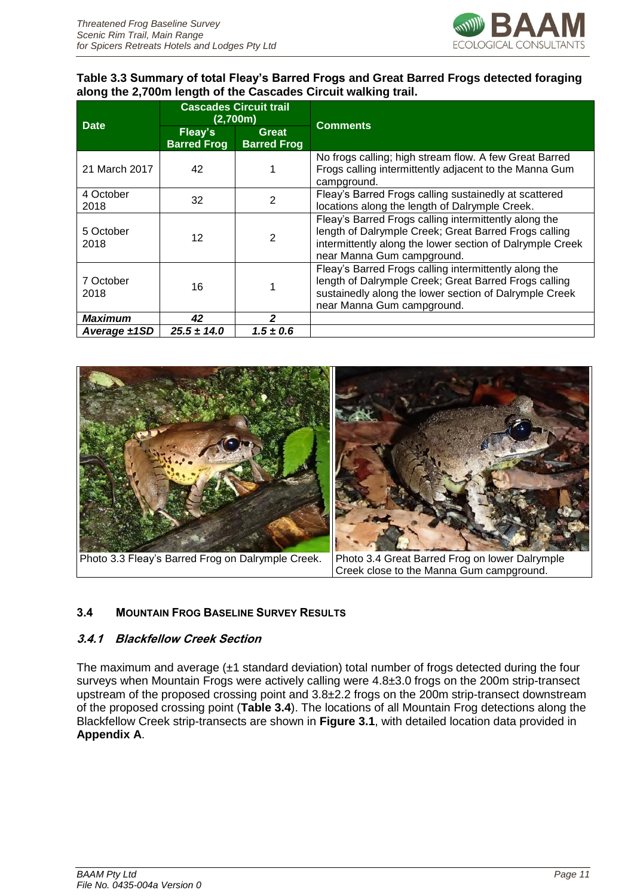

#### **Table 3.3 Summary of total Fleay's Barred Frogs and Great Barred Frogs detected foraging along the 2,700m length of the Cascades Circuit walking trail.**

| <b>Date</b>       | <b>Cascades Circuit trail</b><br>(2,700m) |                                    | <b>Comments</b>                                                                                                                                                                                           |  |
|-------------------|-------------------------------------------|------------------------------------|-----------------------------------------------------------------------------------------------------------------------------------------------------------------------------------------------------------|--|
|                   | Fleay's<br><b>Barred Frog</b>             | <b>Great</b><br><b>Barred Frog</b> |                                                                                                                                                                                                           |  |
| 21 March 2017     | 42                                        |                                    | No frogs calling; high stream flow. A few Great Barred<br>Frogs calling intermittently adjacent to the Manna Gum<br>campground.                                                                           |  |
| 4 October<br>2018 | 32                                        | $\overline{2}$                     | Fleay's Barred Frogs calling sustainedly at scattered<br>locations along the length of Dalrymple Creek.                                                                                                   |  |
| 5 October<br>2018 | 12                                        | 2                                  | Fleay's Barred Frogs calling intermittently along the<br>length of Dalrymple Creek; Great Barred Frogs calling<br>intermittently along the lower section of Dalrymple Creek<br>near Manna Gum campground. |  |
| 7 October<br>2018 | 16                                        |                                    | Fleay's Barred Frogs calling intermittently along the<br>length of Dalrymple Creek; Great Barred Frogs calling<br>sustainedly along the lower section of Dalrymple Creek<br>near Manna Gum campground.    |  |
| <b>Maximum</b>    | 42                                        | $\overline{2}$                     |                                                                                                                                                                                                           |  |
| Average $\pm$ 1SD | $25.5 \pm 14.0$                           | $1.5 \pm 0.6$                      |                                                                                                                                                                                                           |  |



## <span id="page-13-0"></span>**3.4 MOUNTAIN FROG BASELINE SURVEY RESULTS**

#### <span id="page-13-1"></span>**3.4.1 Blackfellow Creek Section**

The maximum and average  $(\pm 1)$  standard deviation) total number of frogs detected during the four surveys when Mountain Frogs were actively calling were 4.8±3.0 frogs on the 200m strip-transect upstream of the proposed crossing point and 3.8±2.2 frogs on the 200m strip-transect downstream of the proposed crossing point (**Table 3.4**). The locations of all Mountain Frog detections along the Blackfellow Creek strip-transects are shown in **Figure 3.1**, with detailed location data provided in **Appendix A**.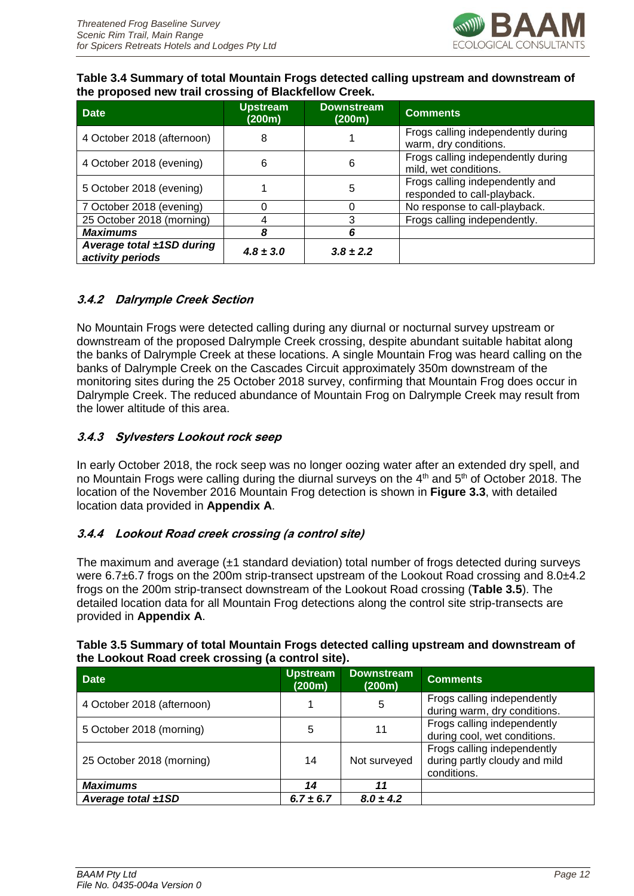

#### **Table 3.4 Summary of total Mountain Frogs detected calling upstream and downstream of the proposed new trail crossing of Blackfellow Creek.**

| <b>Date</b>                                        | <b>Upstream</b><br>(200m) | <b>Downstream</b><br>(200m) | <b>Comments</b>                                                |
|----------------------------------------------------|---------------------------|-----------------------------|----------------------------------------------------------------|
| 4 October 2018 (afternoon)                         | 8                         |                             | Frogs calling independently during<br>warm, dry conditions.    |
| 4 October 2018 (evening)                           | 6                         | 6                           | Frogs calling independently during<br>mild, wet conditions.    |
| 5 October 2018 (evening)                           |                           | 5                           | Frogs calling independently and<br>responded to call-playback. |
| 7 October 2018 (evening)                           |                           |                             | No response to call-playback.                                  |
| 25 October 2018 (morning)                          |                           | 3                           | Frogs calling independently.                                   |
| <b>Maximums</b>                                    |                           | 6                           |                                                                |
| Average total $\pm$ 1SD during<br>activity periods | $4.8 \pm 3.0$             | $3.8 \pm 2.2$               |                                                                |

#### <span id="page-14-0"></span>**3.4.2 Dalrymple Creek Section**

No Mountain Frogs were detected calling during any diurnal or nocturnal survey upstream or downstream of the proposed Dalrymple Creek crossing, despite abundant suitable habitat along the banks of Dalrymple Creek at these locations. A single Mountain Frog was heard calling on the banks of Dalrymple Creek on the Cascades Circuit approximately 350m downstream of the monitoring sites during the 25 October 2018 survey, confirming that Mountain Frog does occur in Dalrymple Creek. The reduced abundance of Mountain Frog on Dalrymple Creek may result from the lower altitude of this area.

#### <span id="page-14-1"></span>**3.4.3 Sylvesters Lookout rock seep**

In early October 2018, the rock seep was no longer oozing water after an extended dry spell, and no Mountain Frogs were calling during the diurnal surveys on the 4<sup>th</sup> and 5<sup>th</sup> of October 2018. The location of the November 2016 Mountain Frog detection is shown in **Figure 3.3**, with detailed location data provided in **Appendix A**.

#### <span id="page-14-2"></span>**3.4.4 Lookout Road creek crossing (a control site)**

The maximum and average  $(\pm 1)$  standard deviation) total number of frogs detected during surveys were 6.7 $\pm$ 6.7 frogs on the 200m strip-transect upstream of the Lookout Road crossing and 8.0 $\pm$ 4.2 frogs on the 200m strip-transect downstream of the Lookout Road crossing (**Table 3.5**). The detailed location data for all Mountain Frog detections along the control site strip-transects are provided in **Appendix A**.

| the Lookout Road Creek Crossing (a Control Site). |                           |                             |                                                                             |
|---------------------------------------------------|---------------------------|-----------------------------|-----------------------------------------------------------------------------|
| <b>Date</b>                                       | <b>Upstream</b><br>(200m) | <b>Downstream</b><br>(200m) | <b>Comments</b>                                                             |
| 4 October 2018 (afternoon)                        |                           | 5                           | Frogs calling independently<br>during warm, dry conditions.                 |
| 5 October 2018 (morning)                          | 5                         | 11                          | Frogs calling independently<br>during cool, wet conditions.                 |
| 25 October 2018 (morning)                         | 14                        | Not surveyed                | Frogs calling independently<br>during partly cloudy and mild<br>conditions. |
| <b>Maximums</b>                                   | 14                        | 11                          |                                                                             |
| Average total $\pm$ 1SD                           | $6.7 \pm 6.7$             | $8.0 \pm 4.2$               |                                                                             |

#### **Table 3.5 Summary of total Mountain Frogs detected calling upstream and downstream of the Lookout Road creek crossing (a control site).**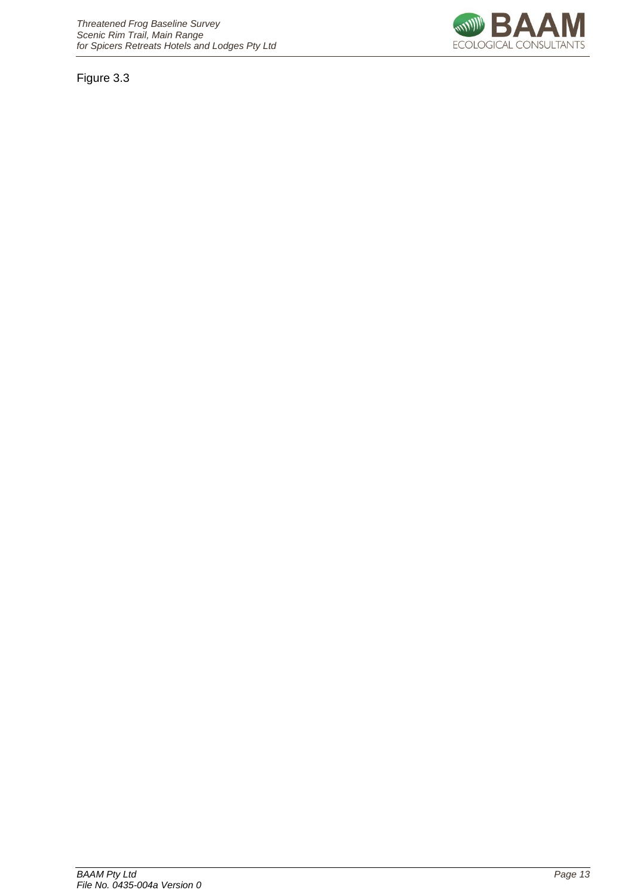Figure 3.3

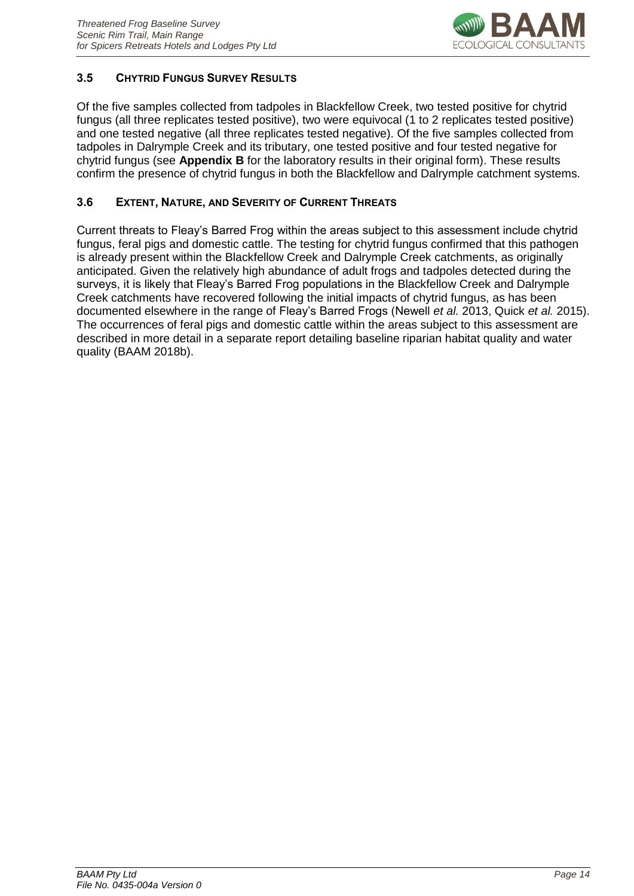

#### <span id="page-16-0"></span>**3.5 CHYTRID FUNGUS SURVEY RESULTS**

Of the five samples collected from tadpoles in Blackfellow Creek, two tested positive for chytrid fungus (all three replicates tested positive), two were equivocal (1 to 2 replicates tested positive) and one tested negative (all three replicates tested negative). Of the five samples collected from tadpoles in Dalrymple Creek and its tributary, one tested positive and four tested negative for chytrid fungus (see **Appendix B** for the laboratory results in their original form). These results confirm the presence of chytrid fungus in both the Blackfellow and Dalrymple catchment systems.

#### <span id="page-16-1"></span>**3.6 EXTENT, NATURE, AND SEVERITY OF CURRENT THREATS**

Current threats to Fleay's Barred Frog within the areas subject to this assessment include chytrid fungus, feral pigs and domestic cattle. The testing for chytrid fungus confirmed that this pathogen is already present within the Blackfellow Creek and Dalrymple Creek catchments, as originally anticipated. Given the relatively high abundance of adult frogs and tadpoles detected during the surveys, it is likely that Fleay's Barred Frog populations in the Blackfellow Creek and Dalrymple Creek catchments have recovered following the initial impacts of chytrid fungus, as has been documented elsewhere in the range of Fleay's Barred Frogs (Newell *et al.* 2013, Quick *et al.* 2015). The occurrences of feral pigs and domestic cattle within the areas subject to this assessment are described in more detail in a separate report detailing baseline riparian habitat quality and water quality (BAAM 2018b).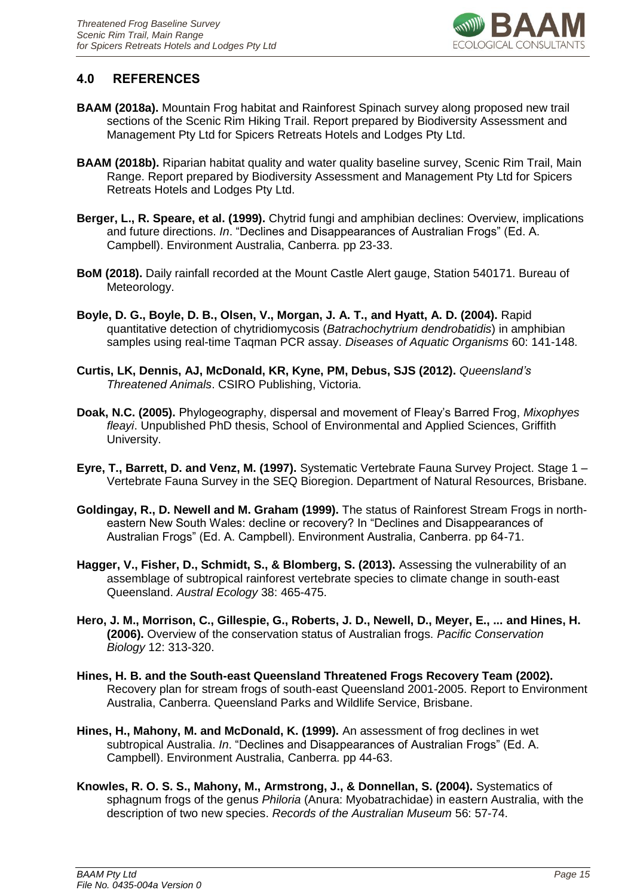

## <span id="page-17-0"></span>**4.0 REFERENCES**

- **BAAM (2018a).** Mountain Frog habitat and Rainforest Spinach survey along proposed new trail sections of the Scenic Rim Hiking Trail. Report prepared by Biodiversity Assessment and Management Pty Ltd for Spicers Retreats Hotels and Lodges Pty Ltd.
- **BAAM (2018b).** Riparian habitat quality and water quality baseline survey, Scenic Rim Trail, Main Range. Report prepared by Biodiversity Assessment and Management Pty Ltd for Spicers Retreats Hotels and Lodges Pty Ltd.
- **Berger, L., R. Speare, et al. (1999).** Chytrid fungi and amphibian declines: Overview, implications and future directions. *In*. "Declines and Disappearances of Australian Frogs" (Ed. A. Campbell). Environment Australia, Canberra. pp 23-33.
- **BoM (2018).** Daily rainfall recorded at the Mount Castle Alert gauge, Station 540171. Bureau of Meteorology.
- **Boyle, D. G., Boyle, D. B., Olsen, V., Morgan, J. A. T., and Hyatt, A. D. (2004).** Rapid quantitative detection of chytridiomycosis (*Batrachochytrium dendrobatidis*) in amphibian samples using real-time Taqman PCR assay. *Diseases of Aquatic Organisms* 60: 141-148.
- **Curtis, LK, Dennis, AJ, McDonald, KR, Kyne, PM, Debus, SJS (2012).** *Queensland's Threatened Animals*. CSIRO Publishing, Victoria.
- **Doak, N.C. (2005).** Phylogeography, dispersal and movement of Fleay's Barred Frog, *Mixophyes fleayi*. Unpublished PhD thesis, School of Environmental and Applied Sciences, Griffith University.
- **Eyre, T., Barrett, D. and Venz, M. (1997).** Systematic Vertebrate Fauna Survey Project. Stage 1 Vertebrate Fauna Survey in the SEQ Bioregion. Department of Natural Resources, Brisbane.
- **Goldingay, R., D. Newell and M. Graham (1999).** The status of Rainforest Stream Frogs in northeastern New South Wales: decline or recovery? In "Declines and Disappearances of Australian Frogs" (Ed. A. Campbell). Environment Australia, Canberra. pp 64-71.
- **Hagger, V., Fisher, D., Schmidt, S., & Blomberg, S. (2013).** Assessing the vulnerability of an assemblage of subtropical rainforest vertebrate species to climate change in south‐east Queensland. *Austral Ecology* 38: 465-475.
- **Hero, J. M., Morrison, C., Gillespie, G., Roberts, J. D., Newell, D., Meyer, E., ... and Hines, H. (2006).** Overview of the conservation status of Australian frogs. *Pacific Conservation Biology* 12: 313-320.
- **Hines, H. B. and the South-east Queensland Threatened Frogs Recovery Team (2002).** Recovery plan for stream frogs of south-east Queensland 2001-2005. Report to Environment Australia, Canberra. Queensland Parks and Wildlife Service, Brisbane.
- **Hines, H., Mahony, M. and McDonald, K. (1999).** An assessment of frog declines in wet subtropical Australia. *In*. "Declines and Disappearances of Australian Frogs" (Ed. A. Campbell). Environment Australia, Canberra. pp 44-63.
- **Knowles, R. O. S. S., Mahony, M., Armstrong, J., & Donnellan, S. (2004).** Systematics of sphagnum frogs of the genus *Philoria* (Anura: Myobatrachidae) in eastern Australia, with the description of two new species. *Records of the Australian Museum* 56: 57-74.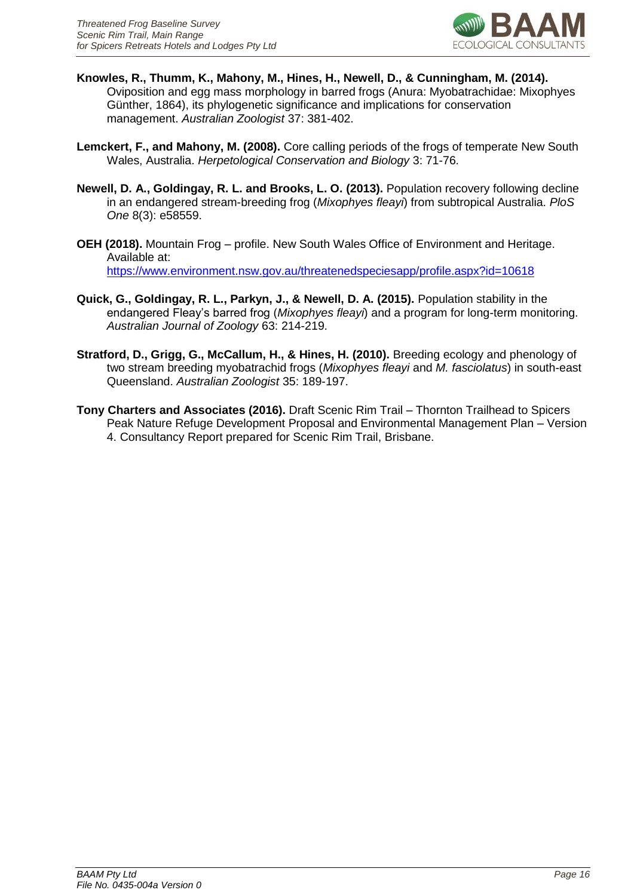

- **Knowles, R., Thumm, K., Mahony, M., Hines, H., Newell, D., & Cunningham, M. (2014).**  Oviposition and egg mass morphology in barred frogs (Anura: Myobatrachidae: Mixophyes Günther, 1864), its phylogenetic significance and implications for conservation management. *Australian Zoologist* 37: 381-402.
- **Lemckert, F., and Mahony, M. (2008).** Core calling periods of the frogs of temperate New South Wales, Australia. *Herpetological Conservation and Biology* 3: 71-76.
- **Newell, D. A., Goldingay, R. L. and Brooks, L. O. (2013).** Population recovery following decline in an endangered stream-breeding frog (*Mixophyes fleayi*) from subtropical Australia. *PloS One* 8(3): e58559.
- **OEH (2018).** Mountain Frog profile. New South Wales Office of Environment and Heritage. Available at: <https://www.environment.nsw.gov.au/threatenedspeciesapp/profile.aspx?id=10618>
- **Quick, G., Goldingay, R. L., Parkyn, J., & Newell, D. A. (2015).** Population stability in the endangered Fleay's barred frog (*Mixophyes fleayi*) and a program for long-term monitoring. *Australian Journal of Zoology* 63: 214-219.
- **Stratford, D., Grigg, G., McCallum, H., & Hines, H. (2010).** Breeding ecology and phenology of two stream breeding myobatrachid frogs (*Mixophyes fleayi* and *M. fasciolatus*) in south-east Queensland. *Australian Zoologist* 35: 189-197.
- **Tony Charters and Associates (2016).** Draft Scenic Rim Trail Thornton Trailhead to Spicers Peak Nature Refuge Development Proposal and Environmental Management Plan – Version 4. Consultancy Report prepared for Scenic Rim Trail, Brisbane.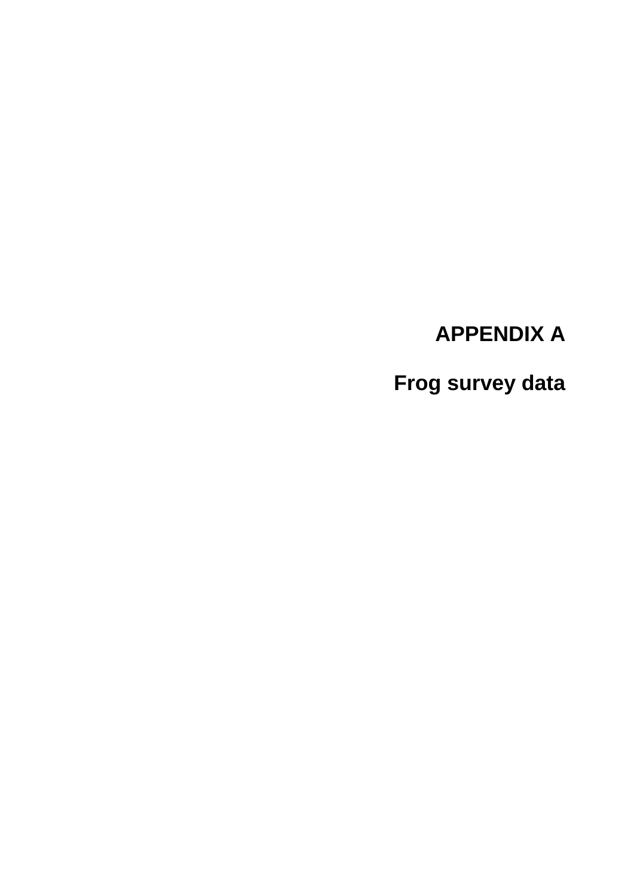# **APPENDIX A**

**Frog survey data**